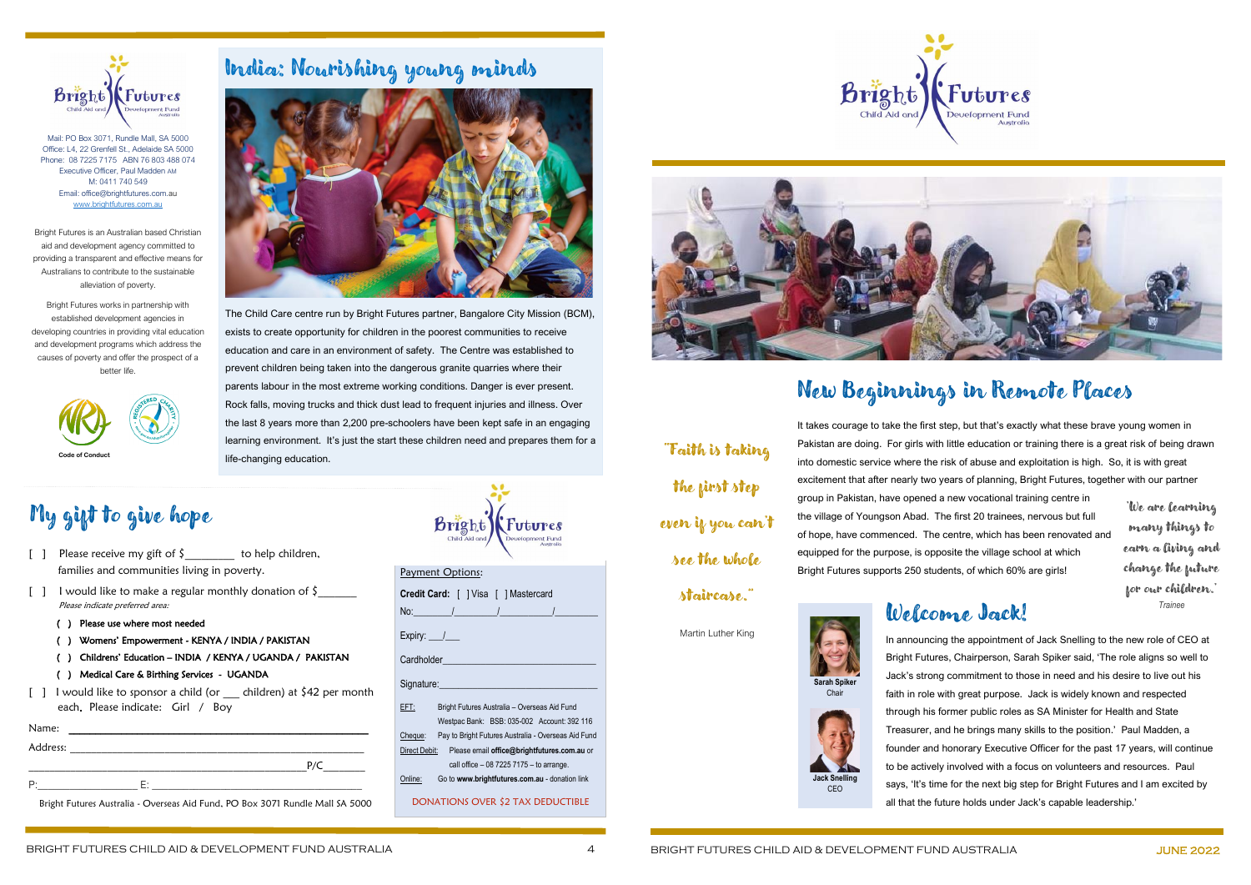## New Beginnings in Remote Places

The Child Care centre run by Bright Futures partner, Bangalore City Mission (BCM), exists to create opportunity for children in the poorest communities to receive education and care in an environment of safety. The Centre was established to prevent children being taken into the dangerous granite quarries where their parents labour in the most extreme working conditions. Danger is ever present. Rock falls, moving trucks and thick dust lead to frequent injuries and illness. Over the last 8 years more than 2,200 pre-schoolers have been kept safe in an engaging learning environment. It's just the start these children need and prepares them for a life-changing education. **Code of Conduct** The state of Conduct The State of Conduct The State of Conduct The Code of Conduct The State of Conduct The State of Conduct The State of Conduct The State of Conduct The State of Conduct The State of Con

It takes courage to take the first step, but that's exactly what these brave young women in Pakistan are doing. For girls with little education or training there is a great risk of being drawn into domestic service where the risk of abuse and exploitation is high. So, it is with great excitement that after nearly two years of planning, Bright Futures, together with our partner group in Pakistan, have opened a new vocational training centre in the village of Youngson Abad. The first 20 trainees, nervous but full of hope, have commenced. The centre, which has been renovated and equipped for the purpose, is opposite the village school at which Bright Futures supports 250 students, of which 60% are girls!



## India: Nourishing young minds



- [ ] Please receive my gift of  $\zeta$  to help children, families and communities living in poverty.
- [ ] I would like to make a regular monthly donation of  $\zeta$  Please indicate preferred area:
	- ( ) Please use where most needed
	- ( ) Womens' Empowerment KENYA / INDIA / PAKISTAN
	- ( ) Childrens' Education INDIA / KENYA / UGANDA / PAKISTAN
	- ( ) Medical Care & Birthing Services UGANDA
- $\begin{bmatrix} 1 & 1 \end{bmatrix}$  I would like to sponsor a child (or children) at \$42 per month each. Please indicate: Girl / Boy



Mail: PO Box 3071, Rundle Mall, SA 5000 Office: L4, 22 Grenfell St., Adelaide SA 5000 Phone: 08 7225 7175 ABN 76 803 488 074 Executive Officer, Paul Madden AM M: 0411 740 549 Email: office@brightfutures.com.au [www.brightfutures.com.au](http://www.brightfutures.com.au/)

| <u>Payment Options:</u>               |                                                             |  |
|---------------------------------------|-------------------------------------------------------------|--|
| Credit Card:     Visa     Mastercard  |                                                             |  |
|                                       |                                                             |  |
| Expiry: $\frac{1}{\sqrt{2}}$          |                                                             |  |
| Cardholder <b>National Cardholder</b> |                                                             |  |
| Signature: Signature:                 |                                                             |  |
| EFT:                                  | Bright Futures Australia - Overseas Aid Fund                |  |
|                                       | Westpac Bank: BSB: 035-002 Account: 392 116                 |  |
|                                       | Cheque: Pay to Bright Futures Australia - Overseas Aid Fund |  |
|                                       | Direct Debit: Please email office@brightfutures.com.au or   |  |
|                                       | call office $-0872257175 -$ to arrange.                     |  |
| Online:                               | Go to www.brightfutures.com.au - donation link              |  |
| DONATIONS OVER \$2 TAX DEDUCTIBLE     |                                                             |  |



bright

Bright Futures is an Australian based Christian aid and development agency committed to providing a transparent and effective means for Australians to contribute to the sustainable alleviation of poverty.

Bright Futures works in partnership with established development agencies in developing countries in providing vital education and development programs which address the causes of poverty and offer the prospect of a better life.



| Name:    |    |   |
|----------|----|---|
| Address: |    |   |
|          |    | D |
| n.       | Ε٠ |   |

Bright Futures Australia - Overseas Aid Fund, PO Box 3071 Rundle Mall SA 5000

| Brishb        | <b>Futures</b>                |
|---------------|-------------------------------|
| Child Aid and | Development Fund<br>Australia |

 $\bullet$ 

## My gift to give hope

the first step

even if you can't

see the whole

### staircase."

Martin Luther King

#### Welcome Jack!

In announcing the appointment of Jack Snelling to the new role of CEO at Bright Futures, Chairperson, Sarah Spiker said, 'The role aligns so well to Jack's strong commitment to those in need and his desire to live out his faith in role with great purpose. Jack is widely known and respected through his former public roles as SA Minister for Health and State Treasurer, and he brings many skills to the position.' Paul Madden, a founder and honorary Executive Officer for the past 17 years, will continue to be actively involved with a focus on volunteers and resources. Paul says, 'It's time for the next big step for Bright Futures and I am excited by all that the future holds under Jack's capable leadership.'





'We are learning many things to earn a living and change the future for our children.' *Trainee*